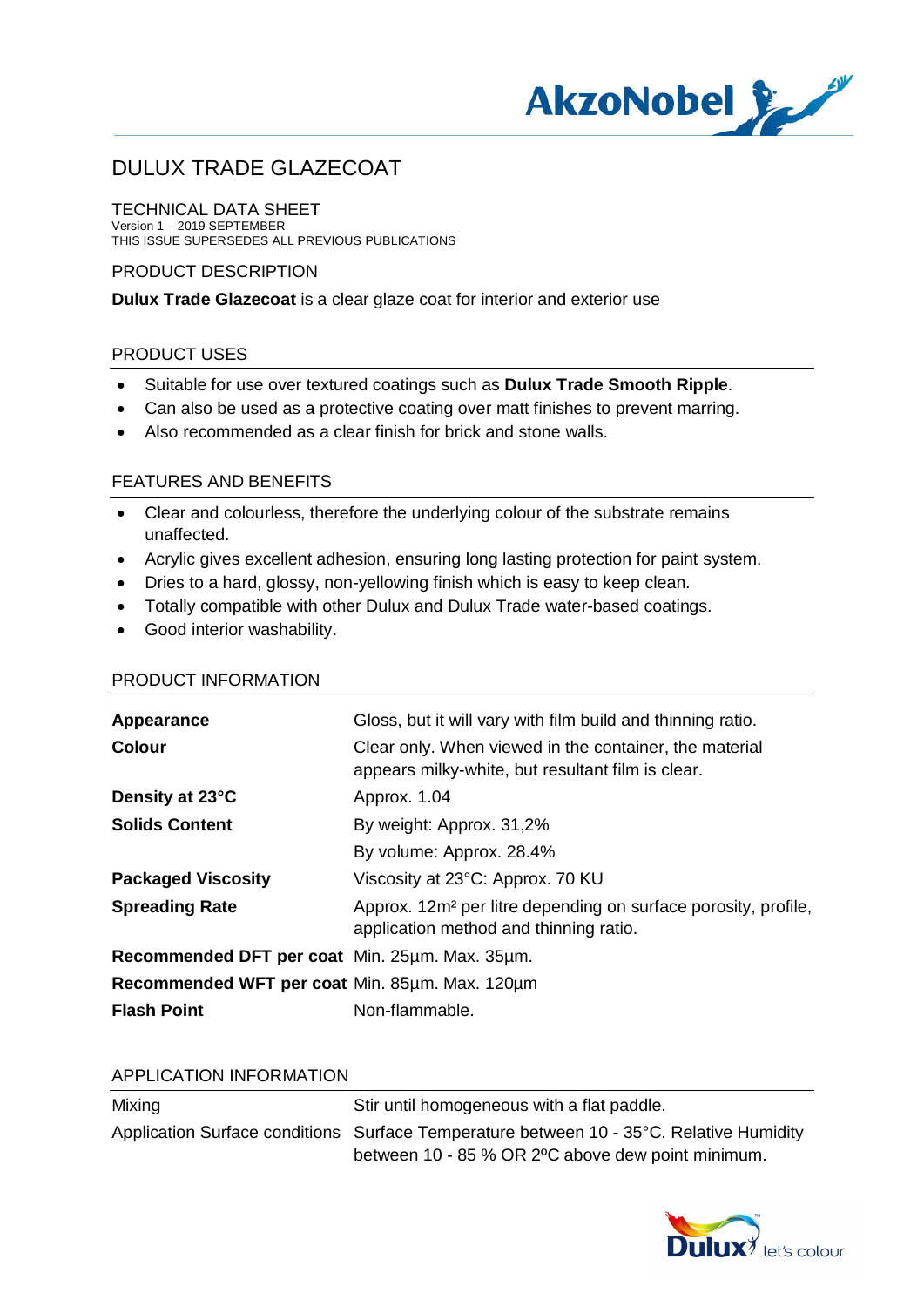

# DULUX TRADE GLAZECOAT

TECHNICAL DATA SHEET Version 1 – 2019 SEPTEMBER THIS ISSUE SUPERSEDES ALL PREVIOUS PUBLICATIONS

### PRODUCT DESCRIPTION

**Dulux Trade Glazecoat** is a clear glaze coat for interior and exterior use

#### PRODUCT USES

- · Suitable for use over textured coatings such as **Dulux Trade Smooth Ripple**.
- · Can also be used as a protective coating over matt finishes to prevent marring.
- · Also recommended as a clear finish for brick and stone walls.

### FEATURES AND BENEFITS

- · Clear and colourless, therefore the underlying colour of the substrate remains unaffected.
- · Acrylic gives excellent adhesion, ensuring long lasting protection for paint system.
- · Dries to a hard, glossy, non-yellowing finish which is easy to keep clean.
- · Totally compatible with other Dulux and Dulux Trade water-based coatings.
- · Good interior washability.

#### PRODUCT INFORMATION

| Appearance                                     | Gloss, but it will vary with film build and thinning ratio.                                                          |
|------------------------------------------------|----------------------------------------------------------------------------------------------------------------------|
| <b>Colour</b>                                  | Clear only. When viewed in the container, the material<br>appears milky-white, but resultant film is clear.          |
| Density at 23°C                                | Approx. 1.04                                                                                                         |
| <b>Solids Content</b>                          | By weight: Approx. 31,2%                                                                                             |
|                                                | By volume: Approx. 28.4%                                                                                             |
| <b>Packaged Viscosity</b>                      | Viscosity at 23°C: Approx. 70 KU                                                                                     |
| <b>Spreading Rate</b>                          | Approx. 12m <sup>2</sup> per litre depending on surface porosity, profile,<br>application method and thinning ratio. |
| Recommended DFT per coat Min. 25um. Max. 35um. |                                                                                                                      |
| Recommended WFT per coat Min. 85um. Max. 120um |                                                                                                                      |
| <b>Flash Point</b>                             | Non-flammable.                                                                                                       |

#### APPLICATION INFORMATION

| Mixing | Stir until homogeneous with a flat paddle.                                              |
|--------|-----------------------------------------------------------------------------------------|
|        | Application Surface conditions Surface Temperature between 10 - 35°C. Relative Humidity |
|        | between 10 - 85 % OR 2°C above dew point minimum.                                       |

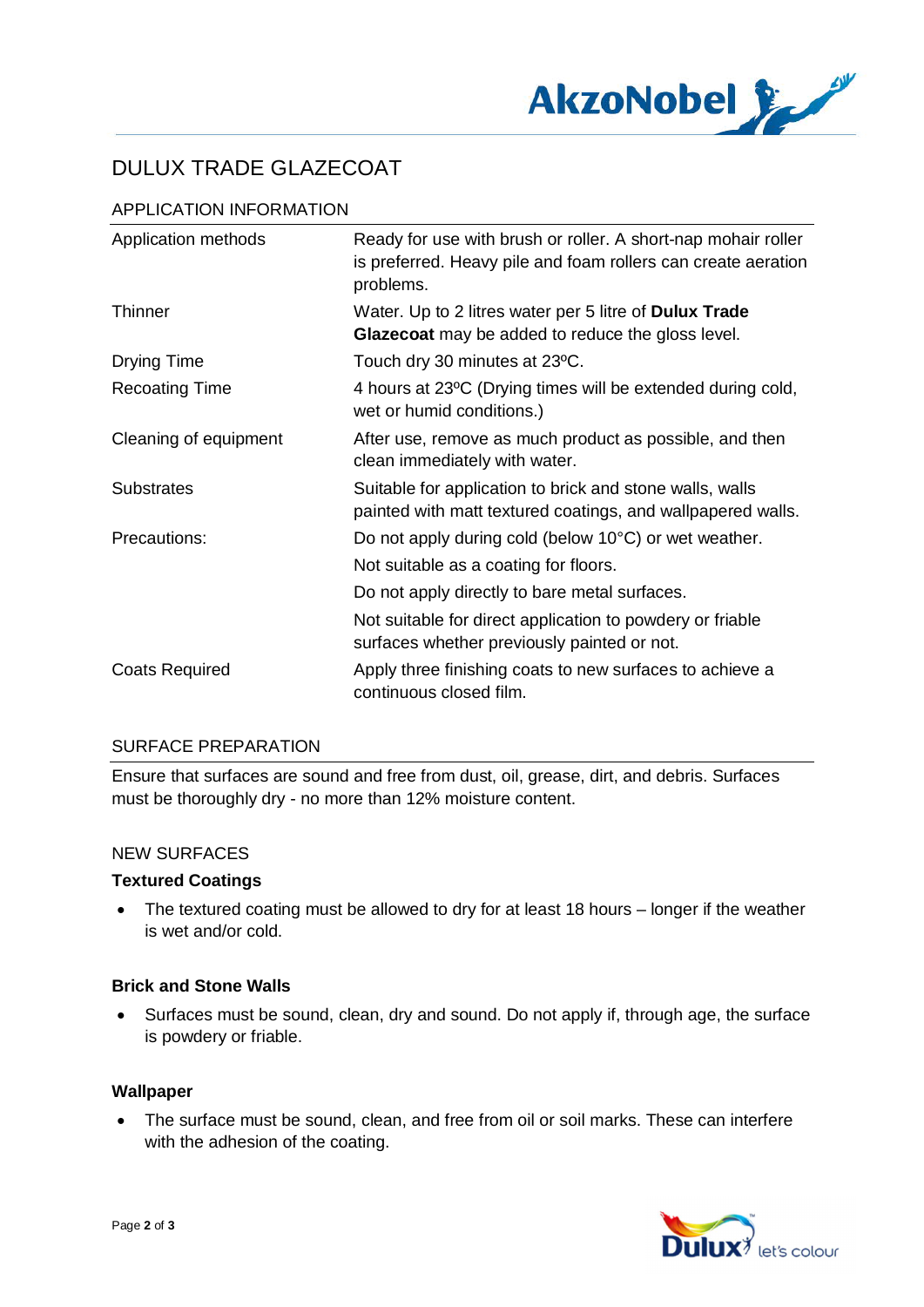

# DULUX TRADE GLAZECOAT

## APPLICATION INFORMATION

| Application methods   | Ready for use with brush or roller. A short-nap mohair roller<br>is preferred. Heavy pile and foam rollers can create aeration<br>problems. |
|-----------------------|---------------------------------------------------------------------------------------------------------------------------------------------|
| <b>Thinner</b>        | Water. Up to 2 litres water per 5 litre of <b>Dulux Trade</b><br>Glazecoat may be added to reduce the gloss level.                          |
| Drying Time           | Touch dry 30 minutes at 23°C.                                                                                                               |
| <b>Recoating Time</b> | 4 hours at 23°C (Drying times will be extended during cold,<br>wet or humid conditions.)                                                    |
| Cleaning of equipment | After use, remove as much product as possible, and then<br>clean immediately with water.                                                    |
| <b>Substrates</b>     | Suitable for application to brick and stone walls, walls<br>painted with matt textured coatings, and wallpapered walls.                     |
| Precautions:          | Do not apply during cold (below 10°C) or wet weather.                                                                                       |
|                       | Not suitable as a coating for floors.                                                                                                       |
|                       | Do not apply directly to bare metal surfaces.                                                                                               |
|                       | Not suitable for direct application to powdery or friable<br>surfaces whether previously painted or not.                                    |
| <b>Coats Required</b> | Apply three finishing coats to new surfaces to achieve a<br>continuous closed film.                                                         |

### SURFACE PREPARATION

Ensure that surfaces are sound and free from dust, oil, grease, dirt, and debris. Surfaces must be thoroughly dry - no more than 12% moisture content.

#### NEW SURFACES

#### **Textured Coatings**

· The textured coating must be allowed to dry for at least 18 hours – longer if the weather is wet and/or cold.

#### **Brick and Stone Walls**

· Surfaces must be sound, clean, dry and sound. Do not apply if, through age, the surface is powdery or friable.

#### **Wallpaper**

· The surface must be sound, clean, and free from oil or soil marks. These can interfere with the adhesion of the coating.